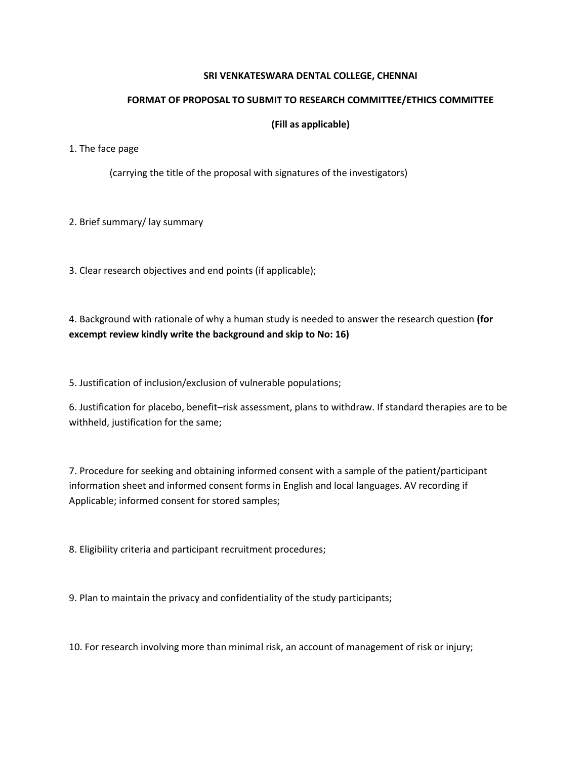## **SRI VENKATESWARA DENTAL COLLEGE, CHENNAI**

## **FORMAT OF PROPOSAL TO SUBMIT TO RESEARCH COMMITTEE/ETHICS COMMITTEE**

## **(Fill as applicable)**

## 1. The face page

(carrying the title of the proposal with signatures of the investigators)

2. Brief summary/ lay summary

3. Clear research objectives and end points (if applicable);

4. Background with rationale of why a human study is needed to answer the research question **(for excempt review kindly write the background and skip to No: 16)**

5. Justification of inclusion/exclusion of vulnerable populations;

6. Justification for placebo, benefit–risk assessment, plans to withdraw. If standard therapies are to be withheld, justification for the same;

7. Procedure for seeking and obtaining informed consent with a sample of the patient/participant information sheet and informed consent forms in English and local languages. AV recording if Applicable; informed consent for stored samples;

8. Eligibility criteria and participant recruitment procedures;

9. Plan to maintain the privacy and confidentiality of the study participants;

10. For research involving more than minimal risk, an account of management of risk or injury;